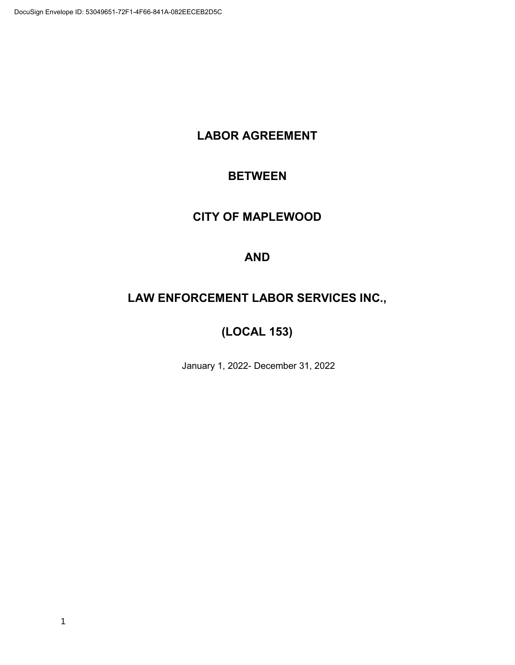# LABOR AGREEMENT

# **BETWEEN**

# CITY OF MAPLEWOOD

# AND

# LAW ENFORCEMENT LABOR SERVICES INC.,

# (LOCAL 153)

January 1, 2022- December 31, 2022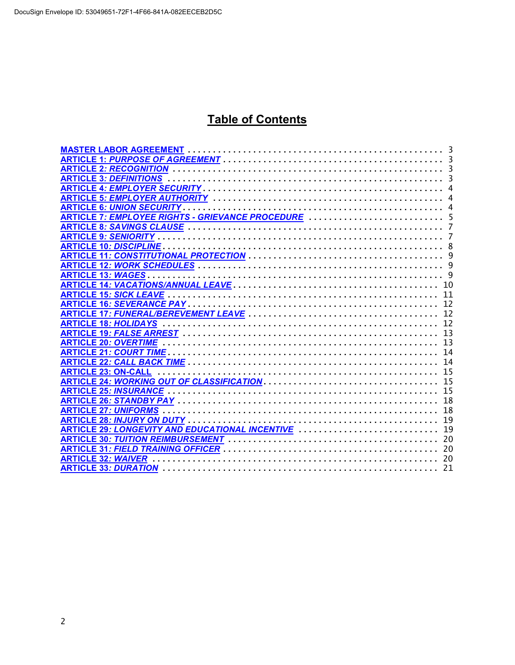# **Table of Contents**

| ARTICLE 7: EMPLOYEE RIGHTS - GRIEVANCE PROCEDURE  5                                                                    |
|------------------------------------------------------------------------------------------------------------------------|
|                                                                                                                        |
|                                                                                                                        |
|                                                                                                                        |
|                                                                                                                        |
|                                                                                                                        |
|                                                                                                                        |
| 10                                                                                                                     |
| 11                                                                                                                     |
|                                                                                                                        |
|                                                                                                                        |
| ARTICLE 18: HOLIDAYS (and the contract of the contract of the contract of the contract of the contract of the c        |
|                                                                                                                        |
|                                                                                                                        |
|                                                                                                                        |
|                                                                                                                        |
|                                                                                                                        |
| 15                                                                                                                     |
|                                                                                                                        |
|                                                                                                                        |
|                                                                                                                        |
| <b>ARTICLE 28: INJURY ON DUTY ALL ACCOMMODATION CONTROLLY ARTICLE 28: INJURY ON DUTY ALL ACCOMMODATION CONTROLLY A</b> |
| ARTICLE 29: LONGEVITY AND EDUCATIONAL INCENTIVE ACCOMODATION CONTROLLER 29: LONGEVITY AND EDUCATIONAL INCENTIVE        |
| ARTICLE 30: TUITION REIMBURSEMENT NULLER ENTITLE ENTITLEMENT CONTROLLER TO A REAL PROPERTY AND THE SERVICE OF          |
|                                                                                                                        |
|                                                                                                                        |
| 21                                                                                                                     |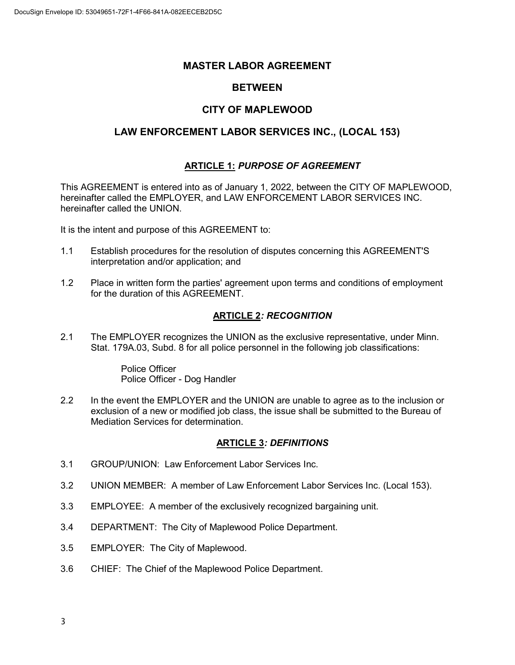### MASTER LABOR AGREEMENT

## **BETWEEN**

## CITY OF MAPLEWOOD

## LAW ENFORCEMENT LABOR SERVICES INC., (LOCAL 153)

#### ARTICLE 1: PURPOSE OF AGREEMENT

This AGREEMENT is entered into as of January 1, 2022, between the CITY OF MAPLEWOOD, hereinafter called the EMPLOYER, and LAW ENFORCEMENT LABOR SERVICES INC. hereinafter called the UNION.

It is the intent and purpose of this AGREEMENT to:

- 1.1 Establish procedures for the resolution of disputes concerning this AGREEMENT'S interpretation and/or application; and
- 1.2 Place in written form the parties' agreement upon terms and conditions of employment for the duration of this AGREEMENT.

#### ARTICLE 2: RECOGNITION

2.1 The EMPLOYER recognizes the UNION as the exclusive representative, under Minn. Stat. 179A.03, Subd. 8 for all police personnel in the following job classifications:

> Police Officer Police Officer - Dog Handler

2.2 In the event the EMPLOYER and the UNION are unable to agree as to the inclusion or exclusion of a new or modified job class, the issue shall be submitted to the Bureau of Mediation Services for determination.

#### ARTICLE 3: DEFINITIONS

- 3.1 GROUP/UNION: Law Enforcement Labor Services Inc.
- 3.2 UNION MEMBER: A member of Law Enforcement Labor Services Inc. (Local 153).
- 3.3 EMPLOYEE: A member of the exclusively recognized bargaining unit.
- 3.4 DEPARTMENT: The City of Maplewood Police Department.
- 3.5 EMPLOYER: The City of Maplewood.
- 3.6 CHIEF: The Chief of the Maplewood Police Department.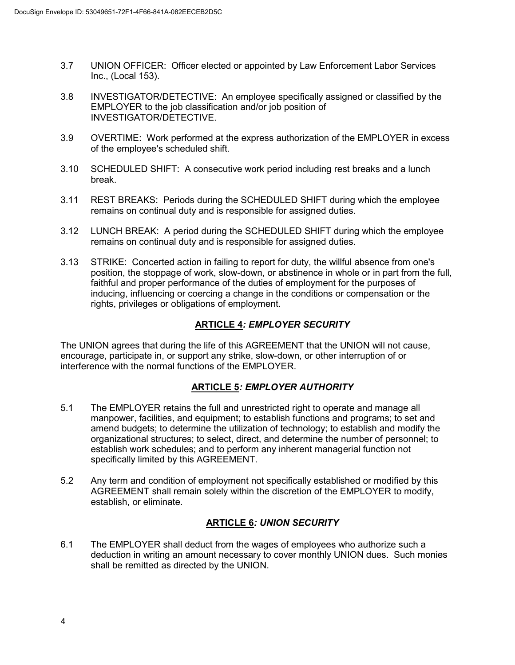- 3.7 UNION OFFICER: Officer elected or appointed by Law Enforcement Labor Services Inc., (Local 153).
- 3.8 INVESTIGATOR/DETECTIVE: An employee specifically assigned or classified by the EMPLOYER to the job classification and/or job position of INVESTIGATOR/DETECTIVE.
- 3.9 OVERTIME: Work performed at the express authorization of the EMPLOYER in excess of the employee's scheduled shift.
- 3.10 SCHEDULED SHIFT: A consecutive work period including rest breaks and a lunch break.
- 3.11 REST BREAKS: Periods during the SCHEDULED SHIFT during which the employee remains on continual duty and is responsible for assigned duties.
- 3.12 LUNCH BREAK: A period during the SCHEDULED SHIFT during which the employee remains on continual duty and is responsible for assigned duties.
- 3.13 STRIKE: Concerted action in failing to report for duty, the willful absence from one's position, the stoppage of work, slow-down, or abstinence in whole or in part from the full, faithful and proper performance of the duties of employment for the purposes of inducing, influencing or coercing a change in the conditions or compensation or the rights, privileges or obligations of employment.

### ARTICLE 4: EMPLOYER SECURITY

The UNION agrees that during the life of this AGREEMENT that the UNION will not cause, encourage, participate in, or support any strike, slow-down, or other interruption of or interference with the normal functions of the EMPLOYER.

### ARTICLE 5: EMPLOYER AUTHORITY

- 5.1 The EMPLOYER retains the full and unrestricted right to operate and manage all manpower, facilities, and equipment; to establish functions and programs; to set and amend budgets; to determine the utilization of technology; to establish and modify the organizational structures; to select, direct, and determine the number of personnel; to establish work schedules; and to perform any inherent managerial function not specifically limited by this AGREEMENT.
- 5.2 Any term and condition of employment not specifically established or modified by this AGREEMENT shall remain solely within the discretion of the EMPLOYER to modify, establish, or eliminate.

### ARTICLE 6: UNION SECURITY

6.1 The EMPLOYER shall deduct from the wages of employees who authorize such a deduction in writing an amount necessary to cover monthly UNION dues. Such monies shall be remitted as directed by the UNION.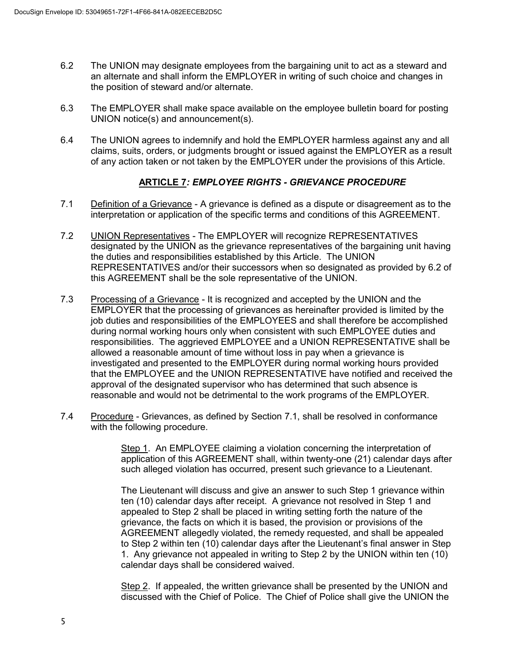- 6.2 The UNION may designate employees from the bargaining unit to act as a steward and an alternate and shall inform the EMPLOYER in writing of such choice and changes in the position of steward and/or alternate.
- 6.3 The EMPLOYER shall make space available on the employee bulletin board for posting UNION notice(s) and announcement(s).
- 6.4 The UNION agrees to indemnify and hold the EMPLOYER harmless against any and all claims, suits, orders, or judgments brought or issued against the EMPLOYER as a result of any action taken or not taken by the EMPLOYER under the provisions of this Article.

#### ARTICLE 7: EMPLOYEE RIGHTS - GRIEVANCE PROCEDURE

- 7.1 Definition of a Grievance A grievance is defined as a dispute or disagreement as to the interpretation or application of the specific terms and conditions of this AGREEMENT.
- 7.2 UNION Representatives The EMPLOYER will recognize REPRESENTATIVES designated by the UNION as the grievance representatives of the bargaining unit having the duties and responsibilities established by this Article. The UNION REPRESENTATIVES and/or their successors when so designated as provided by 6.2 of this AGREEMENT shall be the sole representative of the UNION.
- 7.3 Processing of a Grievance It is recognized and accepted by the UNION and the EMPLOYER that the processing of grievances as hereinafter provided is limited by the job duties and responsibilities of the EMPLOYEES and shall therefore be accomplished during normal working hours only when consistent with such EMPLOYEE duties and responsibilities. The aggrieved EMPLOYEE and a UNION REPRESENTATIVE shall be allowed a reasonable amount of time without loss in pay when a grievance is investigated and presented to the EMPLOYER during normal working hours provided that the EMPLOYEE and the UNION REPRESENTATIVE have notified and received the approval of the designated supervisor who has determined that such absence is reasonable and would not be detrimental to the work programs of the EMPLOYER.
- 7.4 Procedure Grievances, as defined by Section 7.1, shall be resolved in conformance with the following procedure.

Step 1. An EMPLOYEE claiming a violation concerning the interpretation of application of this AGREEMENT shall, within twenty-one (21) calendar days after such alleged violation has occurred, present such grievance to a Lieutenant.

The Lieutenant will discuss and give an answer to such Step 1 grievance within ten (10) calendar days after receipt. A grievance not resolved in Step 1 and appealed to Step 2 shall be placed in writing setting forth the nature of the grievance, the facts on which it is based, the provision or provisions of the AGREEMENT allegedly violated, the remedy requested, and shall be appealed to Step 2 within ten (10) calendar days after the Lieutenant's final answer in Step 1. Any grievance not appealed in writing to Step 2 by the UNION within ten (10) calendar days shall be considered waived.

Step 2. If appealed, the written grievance shall be presented by the UNION and discussed with the Chief of Police. The Chief of Police shall give the UNION the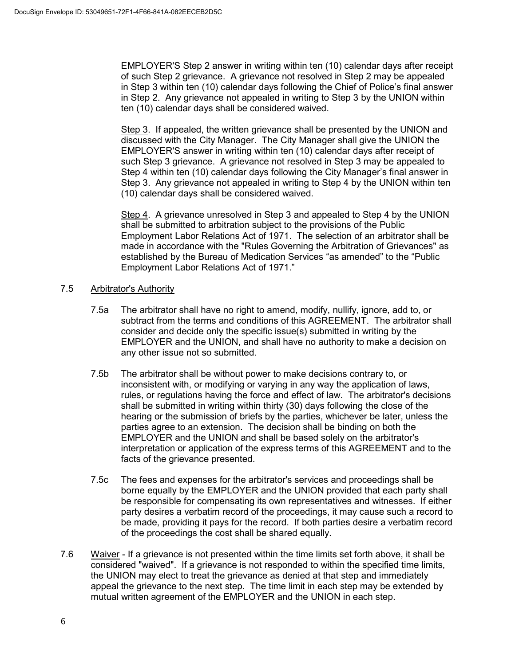EMPLOYER'S Step 2 answer in writing within ten (10) calendar days after receipt of such Step 2 grievance. A grievance not resolved in Step 2 may be appealed in Step 3 within ten (10) calendar days following the Chief of Police's final answer in Step 2. Any grievance not appealed in writing to Step 3 by the UNION within ten (10) calendar days shall be considered waived.

Step 3. If appealed, the written grievance shall be presented by the UNION and discussed with the City Manager. The City Manager shall give the UNION the EMPLOYER'S answer in writing within ten (10) calendar days after receipt of such Step 3 grievance. A grievance not resolved in Step 3 may be appealed to Step 4 within ten (10) calendar days following the City Manager's final answer in Step 3. Any grievance not appealed in writing to Step 4 by the UNION within ten (10) calendar days shall be considered waived.

Step 4. A grievance unresolved in Step 3 and appealed to Step 4 by the UNION shall be submitted to arbitration subject to the provisions of the Public Employment Labor Relations Act of 1971. The selection of an arbitrator shall be made in accordance with the "Rules Governing the Arbitration of Grievances" as established by the Bureau of Medication Services "as amended" to the "Public Employment Labor Relations Act of 1971."

#### 7.5 Arbitrator's Authority

- 7.5a The arbitrator shall have no right to amend, modify, nullify, ignore, add to, or subtract from the terms and conditions of this AGREEMENT. The arbitrator shall consider and decide only the specific issue(s) submitted in writing by the EMPLOYER and the UNION, and shall have no authority to make a decision on any other issue not so submitted.
- 7.5b The arbitrator shall be without power to make decisions contrary to, or inconsistent with, or modifying or varying in any way the application of laws, rules, or regulations having the force and effect of law. The arbitrator's decisions shall be submitted in writing within thirty (30) days following the close of the hearing or the submission of briefs by the parties, whichever be later, unless the parties agree to an extension. The decision shall be binding on both the EMPLOYER and the UNION and shall be based solely on the arbitrator's interpretation or application of the express terms of this AGREEMENT and to the facts of the grievance presented.
- 7.5c The fees and expenses for the arbitrator's services and proceedings shall be borne equally by the EMPLOYER and the UNION provided that each party shall be responsible for compensating its own representatives and witnesses. If either party desires a verbatim record of the proceedings, it may cause such a record to be made, providing it pays for the record. If both parties desire a verbatim record of the proceedings the cost shall be shared equally.
- 7.6 Waiver If a grievance is not presented within the time limits set forth above, it shall be considered "waived". If a grievance is not responded to within the specified time limits, the UNION may elect to treat the grievance as denied at that step and immediately appeal the grievance to the next step. The time limit in each step may be extended by mutual written agreement of the EMPLOYER and the UNION in each step.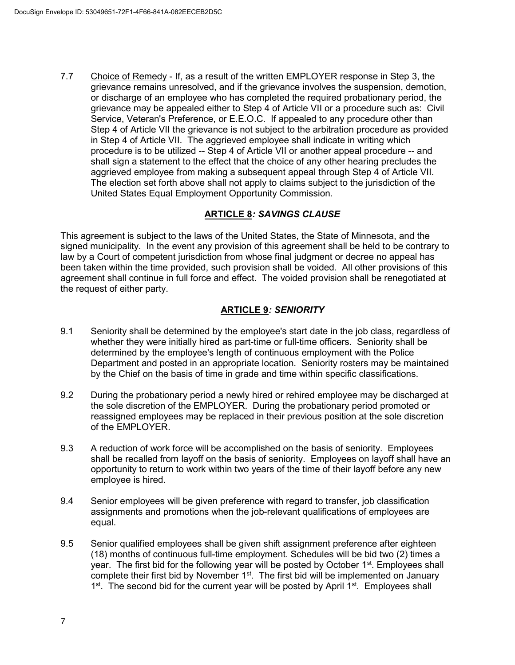7.7 Choice of Remedy - If, as a result of the written EMPLOYER response in Step 3, the grievance remains unresolved, and if the grievance involves the suspension, demotion, or discharge of an employee who has completed the required probationary period, the grievance may be appealed either to Step 4 of Article VII or a procedure such as: Civil Service, Veteran's Preference, or E.E.O.C. If appealed to any procedure other than Step 4 of Article VII the grievance is not subject to the arbitration procedure as provided in Step 4 of Article VII. The aggrieved employee shall indicate in writing which procedure is to be utilized -- Step 4 of Article VII or another appeal procedure -- and shall sign a statement to the effect that the choice of any other hearing precludes the aggrieved employee from making a subsequent appeal through Step 4 of Article VII. The election set forth above shall not apply to claims subject to the jurisdiction of the United States Equal Employment Opportunity Commission.

### ARTICLE 8: SAVINGS CLAUSE

This agreement is subject to the laws of the United States, the State of Minnesota, and the signed municipality. In the event any provision of this agreement shall be held to be contrary to law by a Court of competent jurisdiction from whose final judgment or decree no appeal has been taken within the time provided, such provision shall be voided. All other provisions of this agreement shall continue in full force and effect. The voided provision shall be renegotiated at the request of either party.

### ARTICLE 9: SENIORITY

- 9.1 Seniority shall be determined by the employee's start date in the job class, regardless of whether they were initially hired as part-time or full-time officers. Seniority shall be determined by the employee's length of continuous employment with the Police Department and posted in an appropriate location. Seniority rosters may be maintained by the Chief on the basis of time in grade and time within specific classifications.
- 9.2 During the probationary period a newly hired or rehired employee may be discharged at the sole discretion of the EMPLOYER. During the probationary period promoted or reassigned employees may be replaced in their previous position at the sole discretion of the EMPLOYER.
- 9.3 A reduction of work force will be accomplished on the basis of seniority. Employees shall be recalled from layoff on the basis of seniority. Employees on layoff shall have an opportunity to return to work within two years of the time of their layoff before any new employee is hired.
- 9.4 Senior employees will be given preference with regard to transfer, job classification assignments and promotions when the job-relevant qualifications of employees are equal.
- 9.5 Senior qualified employees shall be given shift assignment preference after eighteen (18) months of continuous full-time employment. Schedules will be bid two (2) times a year. The first bid for the following year will be posted by October 1<sup>st</sup>. Employees shall complete their first bid by November  $1<sup>st</sup>$ . The first bid will be implemented on January 1<sup>st</sup>. The second bid for the current year will be posted by April 1<sup>st</sup>. Employees shall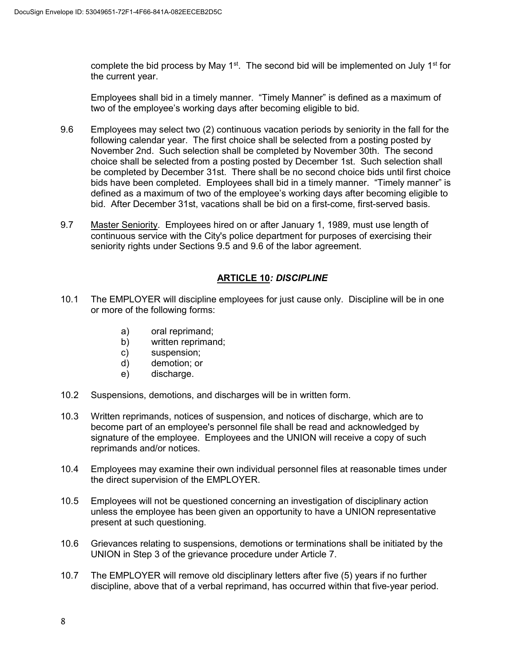complete the bid process by May  $1<sup>st</sup>$ . The second bid will be implemented on July  $1<sup>st</sup>$  for the current year.

 Employees shall bid in a timely manner. "Timely Manner" is defined as a maximum of two of the employee's working days after becoming eligible to bid.

- 9.6 Employees may select two (2) continuous vacation periods by seniority in the fall for the following calendar year. The first choice shall be selected from a posting posted by November 2nd. Such selection shall be completed by November 30th. The second choice shall be selected from a posting posted by December 1st. Such selection shall be completed by December 31st. There shall be no second choice bids until first choice bids have been completed. Employees shall bid in a timely manner. "Timely manner" is defined as a maximum of two of the employee's working days after becoming eligible to bid. After December 31st, vacations shall be bid on a first-come, first-served basis.
- 9.7 Master Seniority. Employees hired on or after January 1, 1989, must use length of continuous service with the City's police department for purposes of exercising their seniority rights under Sections 9.5 and 9.6 of the labor agreement.

### ARTICLE 10: DISCIPLINE

- 10.1 The EMPLOYER will discipline employees for just cause only. Discipline will be in one or more of the following forms:
	- a) oral reprimand;
	- b) written reprimand;
	- c) suspension;
	- d) demotion; or
	- e) discharge.
- 10.2 Suspensions, demotions, and discharges will be in written form.
- 10.3 Written reprimands, notices of suspension, and notices of discharge, which are to become part of an employee's personnel file shall be read and acknowledged by signature of the employee. Employees and the UNION will receive a copy of such reprimands and/or notices.
- 10.4 Employees may examine their own individual personnel files at reasonable times under the direct supervision of the EMPLOYER.
- 10.5 Employees will not be questioned concerning an investigation of disciplinary action unless the employee has been given an opportunity to have a UNION representative present at such questioning.
- 10.6 Grievances relating to suspensions, demotions or terminations shall be initiated by the UNION in Step 3 of the grievance procedure under Article 7.
- 10.7 The EMPLOYER will remove old disciplinary letters after five (5) years if no further discipline, above that of a verbal reprimand, has occurred within that five-year period.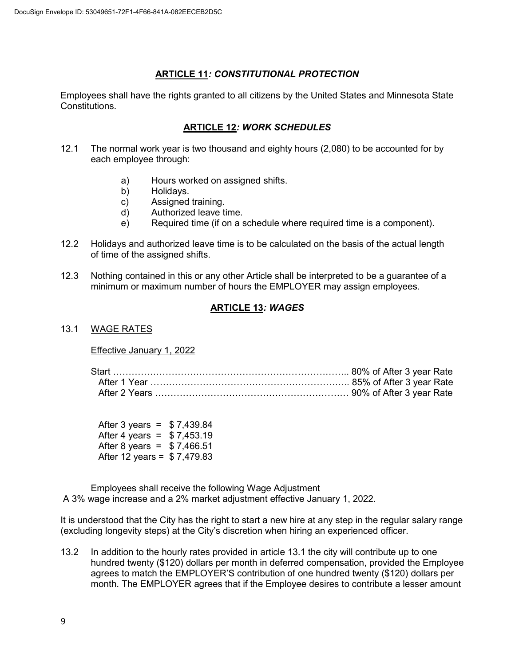#### ARTICLE 11: CONSTITUTIONAL PROTECTION

Employees shall have the rights granted to all citizens by the United States and Minnesota State Constitutions.

### ARTICLE 12: WORK SCHEDULES

- 12.1 The normal work year is two thousand and eighty hours (2,080) to be accounted for by each employee through:
	- a) Hours worked on assigned shifts.
	- b) Holidays.
	- c) Assigned training.
	- d) Authorized leave time.
	- e) Required time (if on a schedule where required time is a component).
- 12.2 Holidays and authorized leave time is to be calculated on the basis of the actual length of time of the assigned shifts.
- 12.3 Nothing contained in this or any other Article shall be interpreted to be a guarantee of a minimum or maximum number of hours the EMPLOYER may assign employees.

### ARTICLE 13: WAGES

#### 13.1 WAGE RATES

#### Effective January 1, 2022

| After 3 years $=$            | \$7,439.84 |
|------------------------------|------------|
| After 4 years $=$            | \$7,453.19 |
| After 8 years =              | \$7,466.51 |
| After 12 years = $$7,479.83$ |            |

 Employees shall receive the following Wage Adjustment A 3% wage increase and a 2% market adjustment effective January 1, 2022.

It is understood that the City has the right to start a new hire at any step in the regular salary range (excluding longevity steps) at the City's discretion when hiring an experienced officer.

13.2 In addition to the hourly rates provided in article 13.1 the city will contribute up to one hundred twenty (\$120) dollars per month in deferred compensation, provided the Employee agrees to match the EMPLOYER'S contribution of one hundred twenty (\$120) dollars per month. The EMPLOYER agrees that if the Employee desires to contribute a lesser amount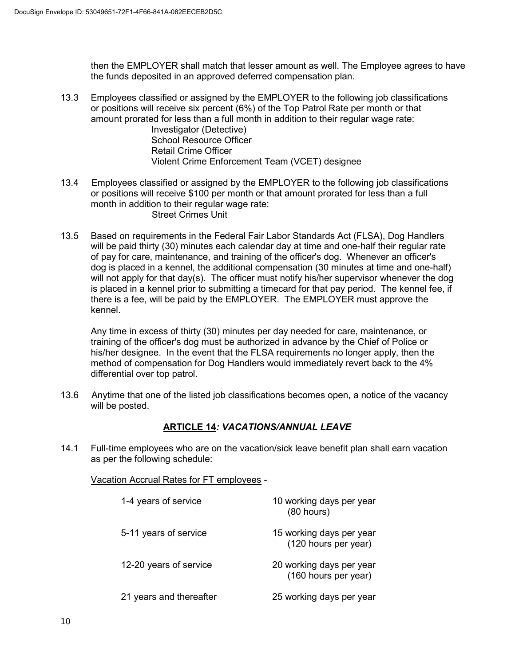then the EMPLOYER shall match that lesser amount as well. The Employee agrees to have the funds deposited in an approved deferred compensation plan.

- 13.3 Employees classified or assigned by the EMPLOYER to the following job classifications or positions will receive six percent (6%) of the Top Patrol Rate per month or that amount prorated for less than a full month in addition to their regular wage rate: Investigator (Detective) School Resource Officer Retail Crime Officer Violent Crime Enforcement Team (VCET) designee
- 13.4 Employees classified or assigned by the EMPLOYER to the following job classifications or positions will receive \$100 per month or that amount prorated for less than a full month in addition to their regular wage rate: Street Crimes Unit
- 13.5 Based on requirements in the Federal Fair Labor Standards Act (FLSA), Dog Handlers will be paid thirty (30) minutes each calendar day at time and one-half their regular rate of pay for care, maintenance, and training of the officer's dog. Whenever an officer's dog is placed in a kennel, the additional compensation (30 minutes at time and one-half) will not apply for that day(s). The officer must notify his/her supervisor whenever the dog is placed in a kennel prior to submitting a timecard for that pay period. The kennel fee, if there is a fee, will be paid by the EMPLOYER. The EMPLOYER must approve the kennel.

Any time in excess of thirty (30) minutes per day needed for care, maintenance, or training of the officer's dog must be authorized in advance by the Chief of Police or his/her designee. In the event that the FLSA requirements no longer apply, then the method of compensation for Dog Handlers would immediately revert back to the 4% differential over top patrol.

13.6 Anytime that one of the listed job classifications becomes open, a notice of the vacancy will be posted.

## ARTICLE 14: VACATIONS/ANNUAL LEAVE

14.1 Full-time employees who are on the vacation/sick leave benefit plan shall earn vacation as per the following schedule:

Vacation Accrual Rates for FT employees -

| 1-4 years of service    | 10 working days per year<br>$(80$ hours)         |
|-------------------------|--------------------------------------------------|
| 5-11 years of service   | 15 working days per year<br>(120 hours per year) |
| 12-20 years of service  | 20 working days per year<br>(160 hours per year) |
| 21 years and thereafter | 25 working days per year                         |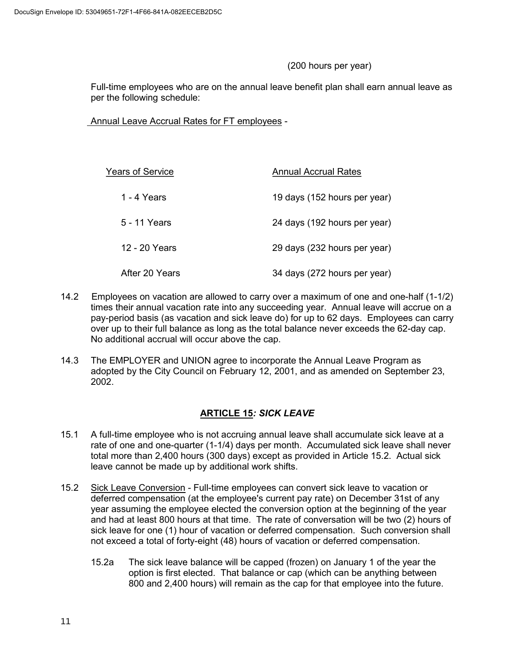#### (200 hours per year)

 Full-time employees who are on the annual leave benefit plan shall earn annual leave as per the following schedule:

Annual Leave Accrual Rates for FT employees -

| Years of Service | Annual Accrual Rates         |
|------------------|------------------------------|
| 1 - 4 Years      | 19 days (152 hours per year) |
| 5 - 11 Years     | 24 days (192 hours per year) |
| 12 - 20 Years    | 29 days (232 hours per year) |
| After 20 Years   | 34 days (272 hours per year) |

- 14.2 Employees on vacation are allowed to carry over a maximum of one and one-half (1-1/2) times their annual vacation rate into any succeeding year. Annual leave will accrue on a pay-period basis (as vacation and sick leave do) for up to 62 days. Employees can carry over up to their full balance as long as the total balance never exceeds the 62-day cap. No additional accrual will occur above the cap.
- 14.3 The EMPLOYER and UNION agree to incorporate the Annual Leave Program as adopted by the City Council on February 12, 2001, and as amended on September 23, 2002.

### ARTICLE 15: SICK LEAVE

- 15.1 A full-time employee who is not accruing annual leave shall accumulate sick leave at a rate of one and one-quarter (1-1/4) days per month. Accumulated sick leave shall never total more than 2,400 hours (300 days) except as provided in Article 15.2. Actual sick leave cannot be made up by additional work shifts.
- 15.2 Sick Leave Conversion Full-time employees can convert sick leave to vacation or deferred compensation (at the employee's current pay rate) on December 31st of any year assuming the employee elected the conversion option at the beginning of the year and had at least 800 hours at that time. The rate of conversation will be two (2) hours of sick leave for one (1) hour of vacation or deferred compensation. Such conversion shall not exceed a total of forty-eight (48) hours of vacation or deferred compensation.
	- 15.2a The sick leave balance will be capped (frozen) on January 1 of the year the option is first elected. That balance or cap (which can be anything between 800 and 2,400 hours) will remain as the cap for that employee into the future.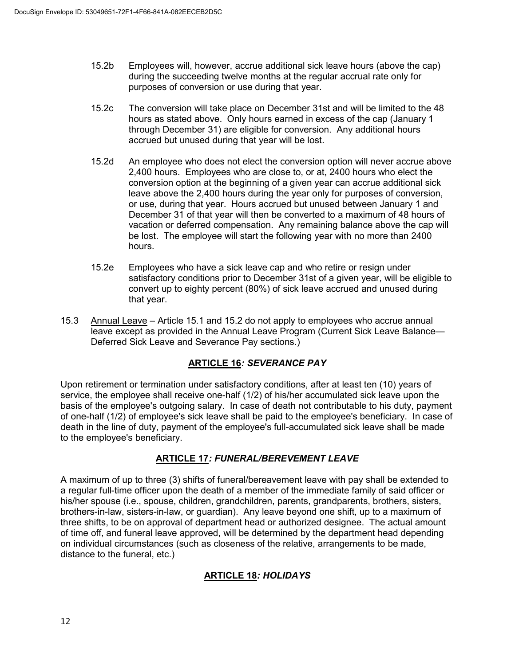- 15.2b Employees will, however, accrue additional sick leave hours (above the cap) during the succeeding twelve months at the regular accrual rate only for purposes of conversion or use during that year.
- 15.2c The conversion will take place on December 31st and will be limited to the 48 hours as stated above. Only hours earned in excess of the cap (January 1 through December 31) are eligible for conversion. Any additional hours accrued but unused during that year will be lost.
- 15.2d An employee who does not elect the conversion option will never accrue above 2,400 hours. Employees who are close to, or at, 2400 hours who elect the conversion option at the beginning of a given year can accrue additional sick leave above the 2,400 hours during the year only for purposes of conversion, or use, during that year. Hours accrued but unused between January 1 and December 31 of that year will then be converted to a maximum of 48 hours of vacation or deferred compensation. Any remaining balance above the cap will be lost. The employee will start the following year with no more than 2400 hours.
- 15.2e Employees who have a sick leave cap and who retire or resign under satisfactory conditions prior to December 31st of a given year, will be eligible to convert up to eighty percent (80%) of sick leave accrued and unused during that year.
- 15.3 Annual Leave Article 15.1 and 15.2 do not apply to employees who accrue annual leave except as provided in the Annual Leave Program (Current Sick Leave Balance— Deferred Sick Leave and Severance Pay sections.)

## ARTICLE 16: SEVERANCE PAY

Upon retirement or termination under satisfactory conditions, after at least ten (10) years of service, the employee shall receive one-half (1/2) of his/her accumulated sick leave upon the basis of the employee's outgoing salary. In case of death not contributable to his duty, payment of one-half (1/2) of employee's sick leave shall be paid to the employee's beneficiary. In case of death in the line of duty, payment of the employee's full-accumulated sick leave shall be made to the employee's beneficiary.

### ARTICLE 17: FUNERAL/BEREVEMENT LEAVE

A maximum of up to three (3) shifts of funeral/bereavement leave with pay shall be extended to a regular full-time officer upon the death of a member of the immediate family of said officer or his/her spouse (i.e., spouse, children, grandchildren, parents, grandparents, brothers, sisters, brothers-in-law, sisters-in-law, or guardian). Any leave beyond one shift, up to a maximum of three shifts, to be on approval of department head or authorized designee. The actual amount of time off, and funeral leave approved, will be determined by the department head depending on individual circumstances (such as closeness of the relative, arrangements to be made, distance to the funeral, etc.)

### ARTICLE 18: HOLIDAYS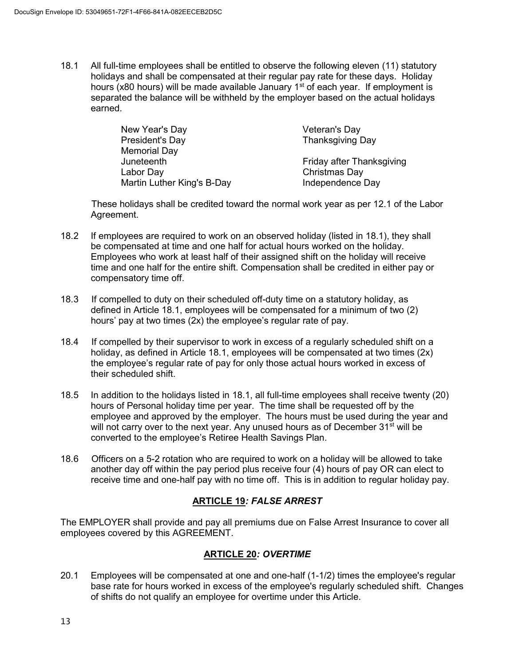18.1 All full-time employees shall be entitled to observe the following eleven (11) statutory holidays and shall be compensated at their regular pay rate for these days. Holiday hours (x80 hours) will be made available January  $1<sup>st</sup>$  of each year. If employment is separated the balance will be withheld by the employer based on the actual holidays earned.

| New Year's Day             | Veteran's Day             |
|----------------------------|---------------------------|
| President's Day            | <b>Thanksgiving Day</b>   |
| Memorial Day               |                           |
| Juneteenth                 | Friday after Thanksgiving |
| Labor Day                  | Christmas Day             |
| Martin Luther King's B-Day | Independence Day          |

 These holidays shall be credited toward the normal work year as per 12.1 of the Labor Agreement.

- 18.2 If employees are required to work on an observed holiday (listed in 18.1), they shall be compensated at time and one half for actual hours worked on the holiday. Employees who work at least half of their assigned shift on the holiday will receive time and one half for the entire shift. Compensation shall be credited in either pay or compensatory time off.
- 18.3 If compelled to duty on their scheduled off-duty time on a statutory holiday, as defined in Article 18.1, employees will be compensated for a minimum of two (2) hours' pay at two times (2x) the employee's regular rate of pay.
- 18.4 If compelled by their supervisor to work in excess of a regularly scheduled shift on a holiday, as defined in Article 18.1, employees will be compensated at two times (2x) the employee's regular rate of pay for only those actual hours worked in excess of their scheduled shift.
- 18.5 In addition to the holidays listed in 18.1, all full-time employees shall receive twenty (20) hours of Personal holiday time per year. The time shall be requested off by the employee and approved by the employer. The hours must be used during the year and will not carry over to the next year. Any unused hours as of December  $31<sup>st</sup>$  will be converted to the employee's Retiree Health Savings Plan.
- 18.6 Officers on a 5-2 rotation who are required to work on a holiday will be allowed to take another day off within the pay period plus receive four (4) hours of pay OR can elect to receive time and one-half pay with no time off. This is in addition to regular holiday pay.

### ARTICLE 19: FALSE ARREST

The EMPLOYER shall provide and pay all premiums due on False Arrest Insurance to cover all employees covered by this AGREEMENT.

## ARTICLE 20: OVERTIME

20.1 Employees will be compensated at one and one-half (1-1/2) times the employee's regular base rate for hours worked in excess of the employee's regularly scheduled shift. Changes of shifts do not qualify an employee for overtime under this Article.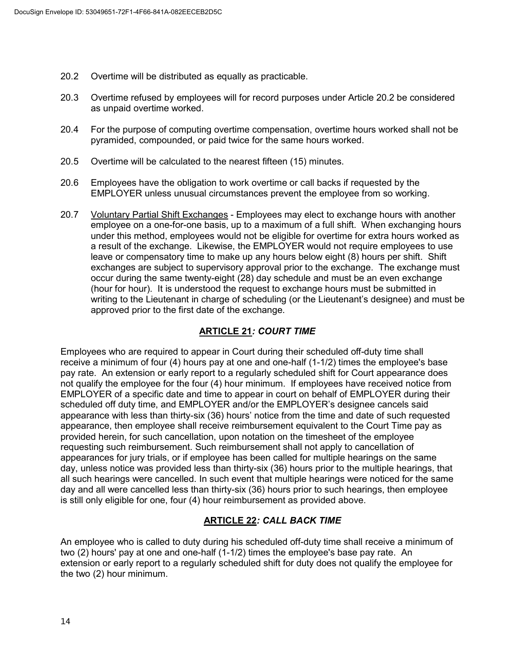- 20.2 Overtime will be distributed as equally as practicable.
- 20.3 Overtime refused by employees will for record purposes under Article 20.2 be considered as unpaid overtime worked.
- 20.4 For the purpose of computing overtime compensation, overtime hours worked shall not be pyramided, compounded, or paid twice for the same hours worked.
- 20.5 Overtime will be calculated to the nearest fifteen (15) minutes.
- 20.6 Employees have the obligation to work overtime or call backs if requested by the EMPLOYER unless unusual circumstances prevent the employee from so working.
- 20.7 Voluntary Partial Shift Exchanges Employees may elect to exchange hours with another employee on a one-for-one basis, up to a maximum of a full shift. When exchanging hours under this method, employees would not be eligible for overtime for extra hours worked as a result of the exchange. Likewise, the EMPLOYER would not require employees to use leave or compensatory time to make up any hours below eight (8) hours per shift. Shift exchanges are subject to supervisory approval prior to the exchange. The exchange must occur during the same twenty-eight (28) day schedule and must be an even exchange (hour for hour). It is understood the request to exchange hours must be submitted in writing to the Lieutenant in charge of scheduling (or the Lieutenant's designee) and must be approved prior to the first date of the exchange.

#### ARTICLE 21: COURT TIME

Employees who are required to appear in Court during their scheduled off-duty time shall receive a minimum of four (4) hours pay at one and one-half (1-1/2) times the employee's base pay rate. An extension or early report to a regularly scheduled shift for Court appearance does not qualify the employee for the four (4) hour minimum. If employees have received notice from EMPLOYER of a specific date and time to appear in court on behalf of EMPLOYER during their scheduled off duty time, and EMPLOYER and/or the EMPLOYER's designee cancels said appearance with less than thirty-six (36) hours' notice from the time and date of such requested appearance, then employee shall receive reimbursement equivalent to the Court Time pay as provided herein, for such cancellation, upon notation on the timesheet of the employee requesting such reimbursement. Such reimbursement shall not apply to cancellation of appearances for jury trials, or if employee has been called for multiple hearings on the same day, unless notice was provided less than thirty-six (36) hours prior to the multiple hearings, that all such hearings were cancelled. In such event that multiple hearings were noticed for the same day and all were cancelled less than thirty-six (36) hours prior to such hearings, then employee is still only eligible for one, four (4) hour reimbursement as provided above.

#### ARTICLE 22: CALL BACK TIME

An employee who is called to duty during his scheduled off-duty time shall receive a minimum of two (2) hours' pay at one and one-half (1-1/2) times the employee's base pay rate. An extension or early report to a regularly scheduled shift for duty does not qualify the employee for the two (2) hour minimum.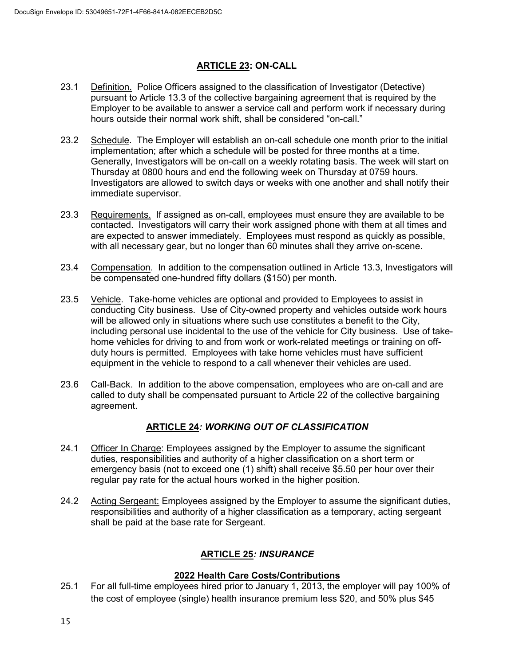#### ARTICLE 23: ON-CALL

- 23.1 Definition. Police Officers assigned to the classification of Investigator (Detective) pursuant to Article 13.3 of the collective bargaining agreement that is required by the Employer to be available to answer a service call and perform work if necessary during hours outside their normal work shift, shall be considered "on-call."
- 23.2 Schedule. The Employer will establish an on-call schedule one month prior to the initial implementation; after which a schedule will be posted for three months at a time. Generally, Investigators will be on-call on a weekly rotating basis. The week will start on Thursday at 0800 hours and end the following week on Thursday at 0759 hours. Investigators are allowed to switch days or weeks with one another and shall notify their immediate supervisor.
- 23.3 Requirements. If assigned as on-call, employees must ensure they are available to be contacted. Investigators will carry their work assigned phone with them at all times and are expected to answer immediately. Employees must respond as quickly as possible, with all necessary gear, but no longer than 60 minutes shall they arrive on-scene.
- 23.4 Compensation. In addition to the compensation outlined in Article 13.3, Investigators will be compensated one-hundred fifty dollars (\$150) per month.
- 23.5 Vehicle. Take-home vehicles are optional and provided to Employees to assist in conducting City business. Use of City-owned property and vehicles outside work hours will be allowed only in situations where such use constitutes a benefit to the City, including personal use incidental to the use of the vehicle for City business. Use of takehome vehicles for driving to and from work or work-related meetings or training on offduty hours is permitted. Employees with take home vehicles must have sufficient equipment in the vehicle to respond to a call whenever their vehicles are used.
- 23.6 Call-Back. In addition to the above compensation, employees who are on-call and are called to duty shall be compensated pursuant to Article 22 of the collective bargaining agreement.

### ARTICLE 24: WORKING OUT OF CLASSIFICATION

- 24.1 Officer In Charge: Employees assigned by the Employer to assume the significant duties, responsibilities and authority of a higher classification on a short term or emergency basis (not to exceed one (1) shift) shall receive \$5.50 per hour over their regular pay rate for the actual hours worked in the higher position.
- 24.2 Acting Sergeant: Employees assigned by the Employer to assume the significant duties, responsibilities and authority of a higher classification as a temporary, acting sergeant shall be paid at the base rate for Sergeant.

### ARTICLE 25: INSURANCE

#### 2022 Health Care Costs/Contributions

25.1 For all full-time employees hired prior to January 1, 2013, the employer will pay 100% of the cost of employee (single) health insurance premium less \$20, and 50% plus \$45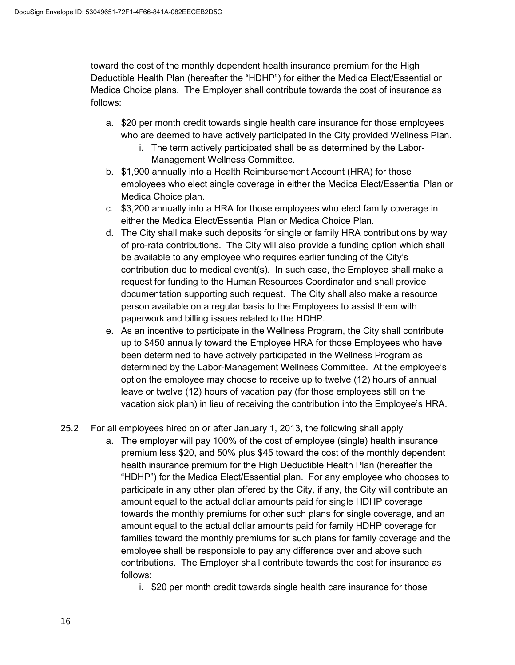toward the cost of the monthly dependent health insurance premium for the High Deductible Health Plan (hereafter the "HDHP") for either the Medica Elect/Essential or Medica Choice plans. The Employer shall contribute towards the cost of insurance as follows:

- a. \$20 per month credit towards single health care insurance for those employees who are deemed to have actively participated in the City provided Wellness Plan.
	- i. The term actively participated shall be as determined by the Labor-Management Wellness Committee.
- b. \$1,900 annually into a Health Reimbursement Account (HRA) for those employees who elect single coverage in either the Medica Elect/Essential Plan or Medica Choice plan.
- c. \$3,200 annually into a HRA for those employees who elect family coverage in either the Medica Elect/Essential Plan or Medica Choice Plan.
- d. The City shall make such deposits for single or family HRA contributions by way of pro-rata contributions. The City will also provide a funding option which shall be available to any employee who requires earlier funding of the City's contribution due to medical event(s). In such case, the Employee shall make a request for funding to the Human Resources Coordinator and shall provide documentation supporting such request. The City shall also make a resource person available on a regular basis to the Employees to assist them with paperwork and billing issues related to the HDHP.
- e. As an incentive to participate in the Wellness Program, the City shall contribute up to \$450 annually toward the Employee HRA for those Employees who have been determined to have actively participated in the Wellness Program as determined by the Labor-Management Wellness Committee. At the employee's option the employee may choose to receive up to twelve (12) hours of annual leave or twelve (12) hours of vacation pay (for those employees still on the vacation sick plan) in lieu of receiving the contribution into the Employee's HRA.
- 25.2 For all employees hired on or after January 1, 2013, the following shall apply
	- a. The employer will pay 100% of the cost of employee (single) health insurance premium less \$20, and 50% plus \$45 toward the cost of the monthly dependent health insurance premium for the High Deductible Health Plan (hereafter the "HDHP") for the Medica Elect/Essential plan. For any employee who chooses to participate in any other plan offered by the City, if any, the City will contribute an amount equal to the actual dollar amounts paid for single HDHP coverage towards the monthly premiums for other such plans for single coverage, and an amount equal to the actual dollar amounts paid for family HDHP coverage for families toward the monthly premiums for such plans for family coverage and the employee shall be responsible to pay any difference over and above such contributions. The Employer shall contribute towards the cost for insurance as follows:
		- i. \$20 per month credit towards single health care insurance for those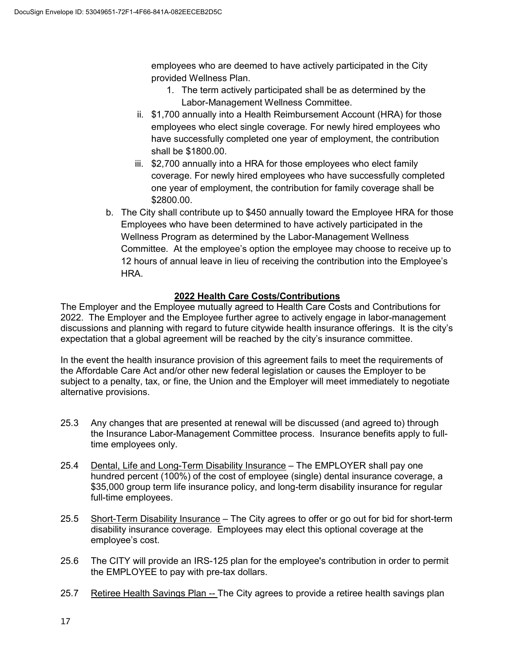employees who are deemed to have actively participated in the City provided Wellness Plan.

- 1. The term actively participated shall be as determined by the Labor-Management Wellness Committee.
- ii. \$1,700 annually into a Health Reimbursement Account (HRA) for those employees who elect single coverage. For newly hired employees who have successfully completed one year of employment, the contribution shall be \$1800.00.
- iii. \$2,700 annually into a HRA for those employees who elect family coverage. For newly hired employees who have successfully completed one year of employment, the contribution for family coverage shall be \$2800.00.
- b. The City shall contribute up to \$450 annually toward the Employee HRA for those Employees who have been determined to have actively participated in the Wellness Program as determined by the Labor-Management Wellness Committee. At the employee's option the employee may choose to receive up to 12 hours of annual leave in lieu of receiving the contribution into the Employee's HRA.

### 2022 Health Care Costs/Contributions

The Employer and the Employee mutually agreed to Health Care Costs and Contributions for 2022. The Employer and the Employee further agree to actively engage in labor-management discussions and planning with regard to future citywide health insurance offerings. It is the city's expectation that a global agreement will be reached by the city's insurance committee.

In the event the health insurance provision of this agreement fails to meet the requirements of the Affordable Care Act and/or other new federal legislation or causes the Employer to be subject to a penalty, tax, or fine, the Union and the Employer will meet immediately to negotiate alternative provisions.

- 25.3 Any changes that are presented at renewal will be discussed (and agreed to) through the Insurance Labor-Management Committee process. Insurance benefits apply to fulltime employees only.
- 25.4 Dental, Life and Long-Term Disability Insurance The EMPLOYER shall pay one hundred percent (100%) of the cost of employee (single) dental insurance coverage, a \$35,000 group term life insurance policy, and long-term disability insurance for regular full-time employees.
- 25.5 Short-Term Disability Insurance The City agrees to offer or go out for bid for short-term disability insurance coverage. Employees may elect this optional coverage at the employee's cost.
- 25.6 The CITY will provide an IRS-125 plan for the employee's contribution in order to permit the EMPLOYEE to pay with pre-tax dollars.
- 25.7 Retiree Health Savings Plan -- The City agrees to provide a retiree health savings plan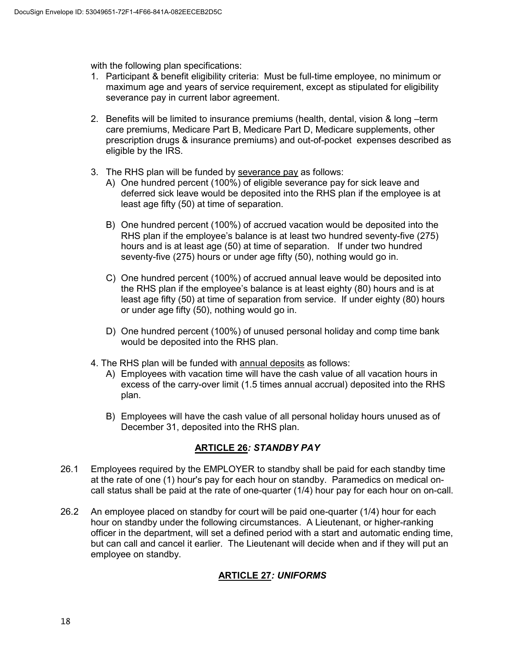with the following plan specifications:

- 1. Participant & benefit eligibility criteria: Must be full-time employee, no minimum or maximum age and years of service requirement, except as stipulated for eligibility severance pay in current labor agreement.
- 2. Benefits will be limited to insurance premiums (health, dental, vision & long –term care premiums, Medicare Part B, Medicare Part D, Medicare supplements, other prescription drugs & insurance premiums) and out-of-pocket expenses described as eligible by the IRS.
- 3. The RHS plan will be funded by severance pay as follows:
	- A) One hundred percent (100%) of eligible severance pay for sick leave and deferred sick leave would be deposited into the RHS plan if the employee is at least age fifty (50) at time of separation.
	- B) One hundred percent (100%) of accrued vacation would be deposited into the RHS plan if the employee's balance is at least two hundred seventy-five (275) hours and is at least age (50) at time of separation. If under two hundred seventy-five (275) hours or under age fifty (50), nothing would go in.
	- C) One hundred percent (100%) of accrued annual leave would be deposited into the RHS plan if the employee's balance is at least eighty (80) hours and is at least age fifty (50) at time of separation from service. If under eighty (80) hours or under age fifty (50), nothing would go in.
	- D) One hundred percent (100%) of unused personal holiday and comp time bank would be deposited into the RHS plan.
- 4. The RHS plan will be funded with annual deposits as follows:
	- A) Employees with vacation time will have the cash value of all vacation hours in excess of the carry-over limit (1.5 times annual accrual) deposited into the RHS plan.
	- B) Employees will have the cash value of all personal holiday hours unused as of December 31, deposited into the RHS plan.

### ARTICLE 26: STANDBY PAY

- 26.1 Employees required by the EMPLOYER to standby shall be paid for each standby time at the rate of one (1) hour's pay for each hour on standby. Paramedics on medical oncall status shall be paid at the rate of one-quarter (1/4) hour pay for each hour on on-call.
- 26.2 An employee placed on standby for court will be paid one-quarter (1/4) hour for each hour on standby under the following circumstances. A Lieutenant, or higher-ranking officer in the department, will set a defined period with a start and automatic ending time, but can call and cancel it earlier. The Lieutenant will decide when and if they will put an employee on standby.

### ARTICLE 27: UNIFORMS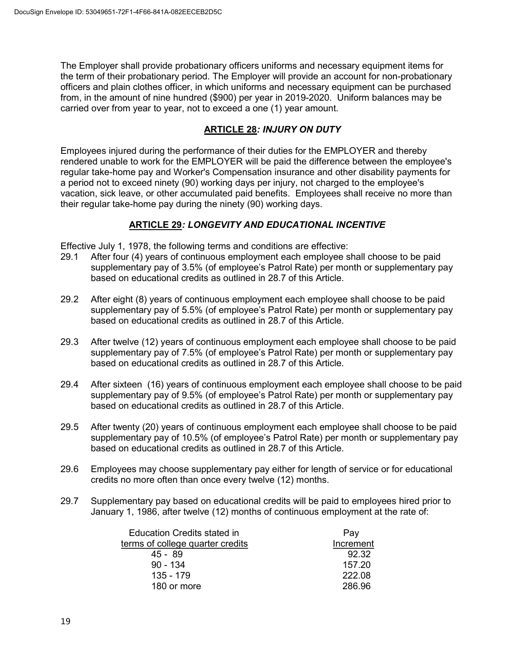The Employer shall provide probationary officers uniforms and necessary equipment items for the term of their probationary period. The Employer will provide an account for non-probationary officers and plain clothes officer, in which uniforms and necessary equipment can be purchased from, in the amount of nine hundred (\$900) per year in 2019-2020. Uniform balances may be carried over from year to year, not to exceed a one (1) year amount.

### **ARTICLE 28: INJURY ON DUTY**

Employees injured during the performance of their duties for the EMPLOYER and thereby rendered unable to work for the EMPLOYER will be paid the difference between the employee's regular take-home pay and Worker's Compensation insurance and other disability payments for a period not to exceed ninety (90) working days per injury, not charged to the employee's vacation, sick leave, or other accumulated paid benefits. Employees shall receive no more than their regular take-home pay during the ninety (90) working days.

#### ARTICLE 29: LONGEVITY AND EDUCATIONAL INCENTIVE

Effective July 1, 1978, the following terms and conditions are effective:

- 29.1 After four (4) years of continuous employment each employee shall choose to be paid supplementary pay of 3.5% (of employee's Patrol Rate) per month or supplementary pay based on educational credits as outlined in 28.7 of this Article.
- 29.2 After eight (8) years of continuous employment each employee shall choose to be paid supplementary pay of 5.5% (of employee's Patrol Rate) per month or supplementary pay based on educational credits as outlined in 28.7 of this Article.
- 29.3 After twelve (12) years of continuous employment each employee shall choose to be paid supplementary pay of 7.5% (of employee's Patrol Rate) per month or supplementary pay based on educational credits as outlined in 28.7 of this Article.
- 29.4 After sixteen (16) years of continuous employment each employee shall choose to be paid supplementary pay of 9.5% (of employee's Patrol Rate) per month or supplementary pay based on educational credits as outlined in 28.7 of this Article.
- 29.5 After twenty (20) years of continuous employment each employee shall choose to be paid supplementary pay of 10.5% (of employee's Patrol Rate) per month or supplementary pay based on educational credits as outlined in 28.7 of this Article.
- 29.6 Employees may choose supplementary pay either for length of service or for educational credits no more often than once every twelve (12) months.
- 29.7 Supplementary pay based on educational credits will be paid to employees hired prior to January 1, 1986, after twelve (12) months of continuous employment at the rate of:

| Education Credits stated in      | Pay       |
|----------------------------------|-----------|
| terms of college quarter credits | Increment |
| $45 - 89$                        | 92.32     |
| $90 - 134$                       | 157.20    |
| 135 - 179                        | 222.08    |
| 180 or more                      | 286.96    |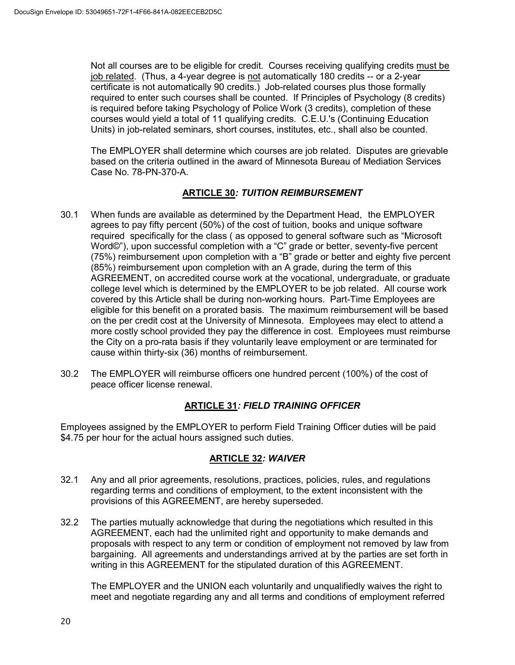Not all courses are to be eligible for credit. Courses receiving qualifying credits must be job related. (Thus, a 4-year degree is not automatically 180 credits -- or a 2-year certificate is not automatically 90 credits.) Job-related courses plus those formally required to enter such courses shall be counted. If Principles of Psychology (8 credits) is required before taking Psychology of Police Work (3 credits), completion of these courses would yield a total of 11 qualifying credits. C.E.U.'s (Continuing Education Units) in job-related seminars, short courses, institutes, etc., shall also be counted.

 The EMPLOYER shall determine which courses are job related. Disputes are grievable based on the criteria outlined in the award of Minnesota Bureau of Mediation Services Case No. 78-PN-370-A.

### ARTICLE 30: TUITION REIMBURSEMENT

- 30.1 When funds are available as determined by the Department Head, the EMPLOYER agrees to pay fifty percent (50%) of the cost of tuition, books and unique software required specifically for the class ( as opposed to general software such as "Microsoft Word©"), upon successful completion with a "C" grade or better, seventy-five percent (75%) reimbursement upon completion with a "B" grade or better and eighty five percent (85%) reimbursement upon completion with an A grade, during the term of this AGREEMENT, on accredited course work at the vocational, undergraduate, or graduate college level which is determined by the EMPLOYER to be job related. All course work covered by this Article shall be during non-working hours. Part-Time Employees are eligible for this benefit on a prorated basis. The maximum reimbursement will be based on the per credit cost at the University of Minnesota. Employees may elect to attend a more costly school provided they pay the difference in cost. Employees must reimburse the City on a pro-rata basis if they voluntarily leave employment or are terminated for cause within thirty-six (36) months of reimbursement.
- 30.2 The EMPLOYER will reimburse officers one hundred percent (100%) of the cost of peace officer license renewal.

## ARTICLE 31: FIELD TRAINING OFFICER

Employees assigned by the EMPLOYER to perform Field Training Officer duties will be paid \$4.75 per hour for the actual hours assigned such duties.

### ARTICLE 32: WAIVER

- 32.1 Any and all prior agreements, resolutions, practices, policies, rules, and regulations regarding terms and conditions of employment, to the extent inconsistent with the provisions of this AGREEMENT, are hereby superseded.
- 32.2 The parties mutually acknowledge that during the negotiations which resulted in this AGREEMENT, each had the unlimited right and opportunity to make demands and proposals with respect to any term or condition of employment not removed by law from bargaining. All agreements and understandings arrived at by the parties are set forth in writing in this AGREEMENT for the stipulated duration of this AGREEMENT.

The EMPLOYER and the UNION each voluntarily and unqualifiedly waives the right to meet and negotiate regarding any and all terms and conditions of employment referred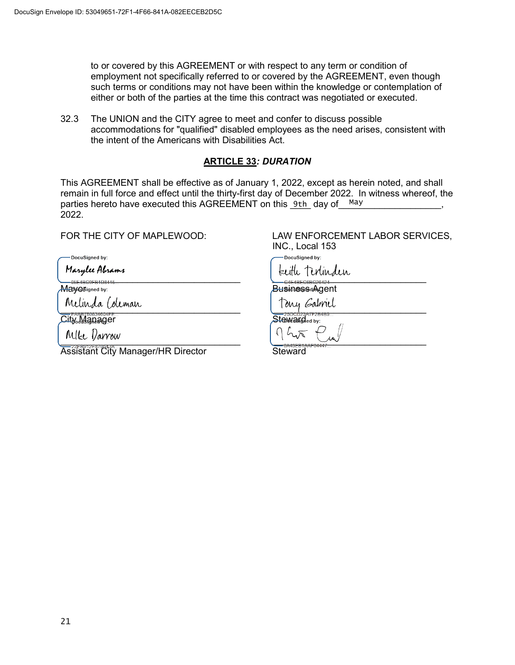to or covered by this AGREEMENT or with respect to any term or condition of employment not specifically referred to or covered by the AGREEMENT, even though such terms or conditions may not have been within the knowledge or contemplation of either or both of the parties at the time this contract was negotiated or executed.

32.3 The UNION and the CITY agree to meet and confer to discuss possible accommodations for "qualified" disabled employees as the need arises, consistent with the intent of the Americans with Disabilities Act.

### ARTICLE 33: DURATION

This AGREEMENT shall be effective as of January 1, 2022, except as herein noted, and shall remain in full force and effect until the thirty-first day of December 2022. In witness whereof, the parties hereto have executed this AGREEMENT on this <u>9th</u> day of May manus and the section of  $\frac{1}{2}$ , 2022.

 $\overline{a}$ DocuSigned by:

Marylee Abrams

<del>C</del>ity Manager<br>Styllen

Assistant City Manager/HR Director Steward

FOR THE CITY OF MAPLEWOOD: LAW ENFORCEMENT LABOR SERVICES, INC., Local 153<br>
<del>Condigity</del> Docusigned by:

\_\_\_\_\_\_\_\_\_\_\_\_\_\_\_\_\_\_\_\_\_\_\_\_\_\_\_\_\_\_\_\_\_\_\_ \_\_\_\_\_\_\_\_\_\_\_\_\_\_\_\_\_\_\_\_\_\_\_\_\_\_\_\_\_\_

Mayor Business Agent

 $P(1000) = P(1000) = P(100) = P(100) = P(100) = P(100) = P(100) = P(100) = P(100) = P(100) = P(100) = P(100) = P(100) = P(100) = P(100) = P(100) = P(100) = P(100) = P(100) = P(100) = P(100) = P(100) = P(100) = P(100) = P(100) = P(100) = P(100) = P(100) = P(100) = P(100) = P(100) = P$ 

| City Manager           | LUD UDLUI II LUTUU<br>Ste Washing by: |
|------------------------|---------------------------------------|
| Mlke<br>Varrow         | $\sim$<br>$\hat{\mathbf{n}}$          |
| بممدعه ومحمده والممتعد | CAA2FDAAAFAAAA7                       |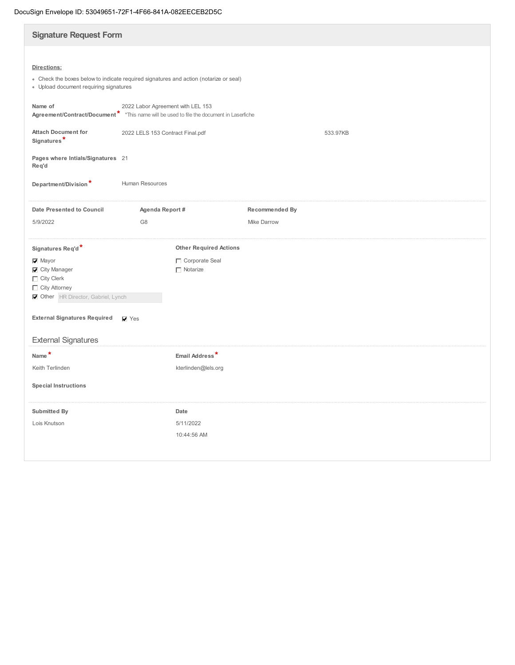## DocuSign Envelope ID: 53049651-72F1-4F66-841A-082EECEB2D5C

| <b>Signature Request Form</b>                                                                                                                                |                                                                                                                              |                                      |
|--------------------------------------------------------------------------------------------------------------------------------------------------------------|------------------------------------------------------------------------------------------------------------------------------|--------------------------------------|
| Directions:<br>• Upload document requiring signatures                                                                                                        | • Check the boxes below to indicate required signatures and action (notarize or seal)                                        |                                      |
| Name of                                                                                                                                                      | 2022 Labor Agreement with LEL 153<br>Agreement/Contract/Document* *This name will be used to file the document in Laserfiche |                                      |
| <b>Attach Document for</b><br>Signatures*                                                                                                                    | 2022 LELS 153 Contract Final.pdf                                                                                             | 533.97KB                             |
| Pages where Intials/Signatures 21<br>Req'd                                                                                                                   |                                                                                                                              |                                      |
| Department/Division*                                                                                                                                         | Human Resources                                                                                                              |                                      |
| <b>Date Presented to Council</b><br>5/9/2022                                                                                                                 | Agenda Report #<br>G8                                                                                                        | Recommended By<br><b>Mike Darrow</b> |
| Signatures Req'd*<br>Mayor<br>City Manager<br>$\Box$ City Clerk<br>City Attorney<br>Other HR Director, Gabriel, Lynch<br><b>External Signatures Required</b> | <b>Other Required Actions</b><br>Corporate Seal<br>$\Box$ Notarize<br>$\nabla$ Yes                                           |                                      |
| <b>External Signatures</b><br>Name*                                                                                                                          | Email Address*                                                                                                               |                                      |
| Keith Terlinden<br><b>Special Instructions</b>                                                                                                               | kterlinden@lels.org                                                                                                          |                                      |
| Submitted By<br>Lois Knutson                                                                                                                                 | Date<br>5/11/2022<br>10:44:56 AM                                                                                             |                                      |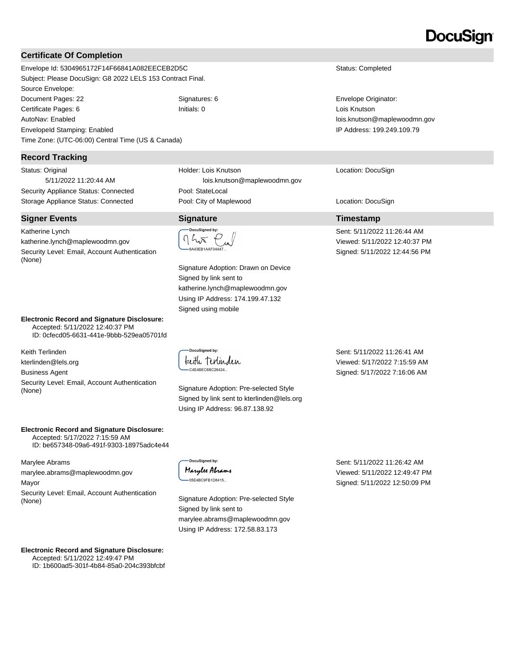#### **Certificate Of Completion**

Envelope Id: 5304965172F14F66841A082EECEB2D5C Status: Completed Subject: Please DocuSign: G8 2022 LELS 153 Contract Final. Source Envelope: Document Pages: 22 Signatures: 6 Envelope Originator: 6 Envelope Originator: Certificate Pages: 6 Initials: 0 Lois Knutson AutoNav: Enabled EnvelopeId Stamping: Enabled Time Zone: (UTC-06:00) Central Time (US & Canada)

#### **Record Tracking**

Status: Original 5/11/2022 11:20:44 AM Security Appliance Status: Connected Pool: StateLocal

#### **Signer Events Signature Timestamp**

Katherine Lynch katherine.lynch@maplewoodmn.gov Security Level: Email, Account Authentication (None)

#### **Electronic Record and Signature Disclosure:**  Accepted: 5/11/2022 12:40:37 PM

ID: 0cfecd05-6631-441e-9bbb-529ea05701fd

Keith Terlinden

kterlinden@lels.org

Business Agent

Security Level: Email, Account Authentication Signature Adoption: Pre-selected Style<br>(None)

#### **Electronic Record and Signature Disclosure:**

 Accepted: 5/17/2022 7:15:59 AM ID: be657348-09a6-491f-9303-18975adc4e44

Marylee Abrams

marylee.abrams@maplewoodmn.gov

Mayor

Security Level: Email, Account Authentication County Leven, Email, Account Admentious of Signature Adoption: Pre-selected Style (None)

#### **Electronic Record and Signature Disclosure:**

 Accepted: 5/11/2022 12:49:47 PM ID: 1b600ad5-301f-4b84-85a0-204c393bfcbf

Holder: Lois Knutson lois.knutson@maplewoodmn.gov Storage Appliance Status: Connected **Pool: City of Maplewood** Location: DocuSign Location: DocuSign



Signature Adoption: Drawn on Device Signed by link sent to katherine.lynch@maplewoodmn.gov Using IP Address: 174.199.47.132 Signed using mobile

DocuSianed by teith Terlinden C4E4BEC6BC26424.

Signed by link sent to kterlinden@lels.org Using IP Address: 96.87.138.92

DocuSianed by: Marylee Abrams -05E4BC9FB1D8415...

Signed by link sent to marylee.abrams@maplewoodmn.gov Using IP Address: 172.58.83.173

lois.knutson@maplewoodmn.gov IP Address: 199.249.109.79

#### Location: DocuSign

Sent: 5/11/2022 11:26:44 AM Viewed: 5/11/2022 12:40:37 PM Signed: 5/11/2022 12:44:56 PM

Sent: 5/11/2022 11:26:41 AM Viewed: 5/17/2022 7:15:59 AM Signed: 5/17/2022 7:16:06 AM

Sent: 5/11/2022 11:26:42 AM Viewed: 5/11/2022 12:49:47 PM Signed: 5/11/2022 12:50:09 PM

# DocuSign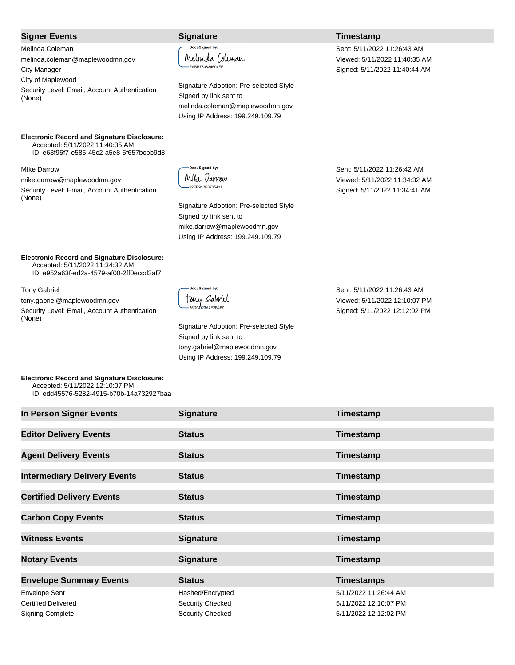#### **Signer Events Signature Timestamp**

Melinda Coleman melinda.coleman@maplewoodmn.gov

City Manager

City of Maplewood

Security Level: Email, Account Authentication (None)

**Electronic Record and Signature Disclosure:**  Accepted: 5/11/2022 11:40:35 AM ID: e63f95f7-e585-45c2-a5e8-5f657bcbb9d8

MIke Darrow

mike.darrow@maplewoodmn.gov

Security Level: Email, Account Authentication (None)

Melinda Coleman -EABB780834604FE...

Signature Adoption: Pre-selected Style Signed by link sent to melinda.coleman@maplewoodmn.gov Using IP Address: 199.249.109.79

Sent: 5/11/2022 11:26:43 AM Viewed: 5/11/2022 11:40:35 AM Signed: 5/11/2022 11:40:44 AM

-DocuSianed by: Mlke Darrow 22EB912E870543A...

Signature Adoption: Pre-selected Style Signed by link sent to mike.darrow@maplewoodmn.gov Using IP Address: 199.249.109.79

**Electronic Record and Signature Disclosure:**  Accepted: 5/11/2022 11:34:32 AM

ID: e952a63f-ed2a-4579-af00-2ff0eccd3af7

Tony Gabriel

tony.gabriel@maplewoodmn.gov Security Level: Email, Account Authentication (None)

DocuSigned by: Tony Gabriel 25DCD23A7F2B4B9..

Signature Adoption: Pre-selected Style Signed by link sent to tony.gabriel@maplewoodmn.gov Using IP Address: 199.249.109.79

Sent: 5/11/2022 11:26:42 AM Viewed: 5/11/2022 11:34:32 AM Signed: 5/11/2022 11:34:41 AM

Sent: 5/11/2022 11:26:43 AM Viewed: 5/11/2022 12:10:07 PM Signed: 5/11/2022 12:12:02 PM

| <b>Electronic Record and Signature Disclosure:</b> |
|----------------------------------------------------|
|                                                    |

Accepted: 5/11/2022 12:10:07 PM

ID: edd45576-5282-4915-b70b-14a732927baa

| In Person Signer Events                                                       | <b>Signature</b>                                                | Timestamp                                                               |
|-------------------------------------------------------------------------------|-----------------------------------------------------------------|-------------------------------------------------------------------------|
| <b>Editor Delivery Events</b>                                                 | <b>Status</b>                                                   | Timestamp                                                               |
| <b>Agent Delivery Events</b>                                                  | <b>Status</b>                                                   | Timestamp                                                               |
| <b>Intermediary Delivery Events</b>                                           | <b>Status</b>                                                   | Timestamp                                                               |
| <b>Certified Delivery Events</b>                                              | <b>Status</b>                                                   | Timestamp                                                               |
| <b>Carbon Copy Events</b>                                                     | <b>Status</b>                                                   | Timestamp                                                               |
| <b>Witness Events</b>                                                         | <b>Signature</b>                                                | Timestamp                                                               |
| <b>Notary Events</b>                                                          | <b>Signature</b>                                                | Timestamp                                                               |
| <b>Envelope Summary Events</b>                                                | <b>Status</b>                                                   | <b>Timestamps</b>                                                       |
| <b>Envelope Sent</b><br><b>Certified Delivered</b><br><b>Signing Complete</b> | Hashed/Encrypted<br><b>Security Checked</b><br>Security Checked | 5/11/2022 11:26:44 AM<br>5/11/2022 12:10:07 PM<br>5/11/2022 12:12:02 PM |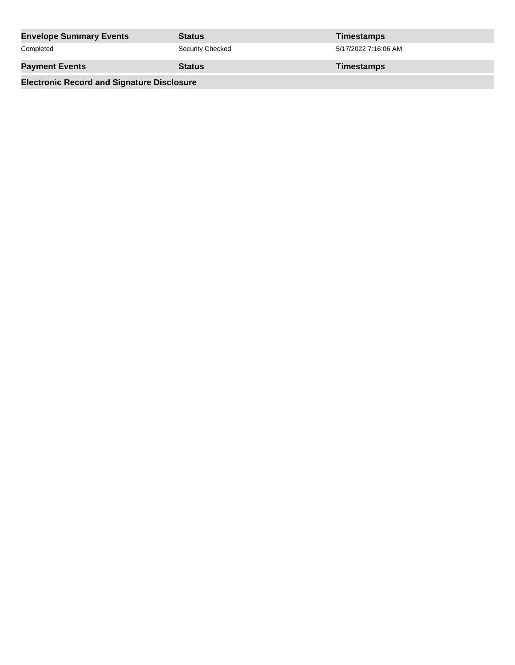| <b>Envelope Summary Events</b>                    | <b>Status</b>           | Timestamps           |  |
|---------------------------------------------------|-------------------------|----------------------|--|
| Completed                                         | <b>Security Checked</b> | 5/17/2022 7:16:06 AM |  |
| <b>Payment Events</b>                             | <b>Status</b>           | <b>Timestamps</b>    |  |
| <b>Electronic Record and Signature Disclosure</b> |                         |                      |  |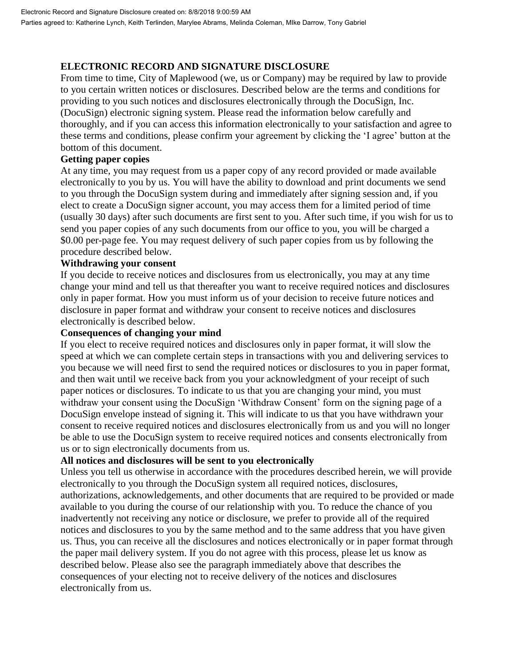## **ELECTRONIC RECORD AND SIGNATURE DISCLOSURE**

From time to time, City of Maplewood (we, us or Company) may be required by law to provide to you certain written notices or disclosures. Described below are the terms and conditions for providing to you such notices and disclosures electronically through the DocuSign, Inc. (DocuSign) electronic signing system. Please read the information below carefully and thoroughly, and if you can access this information electronically to your satisfaction and agree to these terms and conditions, please confirm your agreement by clicking the 'I agree' button at the bottom of this document.

#### **Getting paper copies**

At any time, you may request from us a paper copy of any record provided or made available electronically to you by us. You will have the ability to download and print documents we send to you through the DocuSign system during and immediately after signing session and, if you elect to create a DocuSign signer account, you may access them for a limited period of time (usually 30 days) after such documents are first sent to you. After such time, if you wish for us to send you paper copies of any such documents from our office to you, you will be charged a \$0.00 per-page fee. You may request delivery of such paper copies from us by following the procedure described below.

#### **Withdrawing your consent**

If you decide to receive notices and disclosures from us electronically, you may at any time change your mind and tell us that thereafter you want to receive required notices and disclosures only in paper format. How you must inform us of your decision to receive future notices and disclosure in paper format and withdraw your consent to receive notices and disclosures electronically is described below.

#### **Consequences of changing your mind**

If you elect to receive required notices and disclosures only in paper format, it will slow the speed at which we can complete certain steps in transactions with you and delivering services to you because we will need first to send the required notices or disclosures to you in paper format, and then wait until we receive back from you your acknowledgment of your receipt of such paper notices or disclosures. To indicate to us that you are changing your mind, you must withdraw your consent using the DocuSign 'Withdraw Consent' form on the signing page of a DocuSign envelope instead of signing it. This will indicate to us that you have withdrawn your consent to receive required notices and disclosures electronically from us and you will no longer be able to use the DocuSign system to receive required notices and consents electronically from us or to sign electronically documents from us.

### **All notices and disclosures will be sent to you electronically**

Unless you tell us otherwise in accordance with the procedures described herein, we will provide electronically to you through the DocuSign system all required notices, disclosures, authorizations, acknowledgements, and other documents that are required to be provided or made available to you during the course of our relationship with you. To reduce the chance of you inadvertently not receiving any notice or disclosure, we prefer to provide all of the required notices and disclosures to you by the same method and to the same address that you have given us. Thus, you can receive all the disclosures and notices electronically or in paper format through the paper mail delivery system. If you do not agree with this process, please let us know as described below. Please also see the paragraph immediately above that describes the consequences of your electing not to receive delivery of the notices and disclosures electronically from us.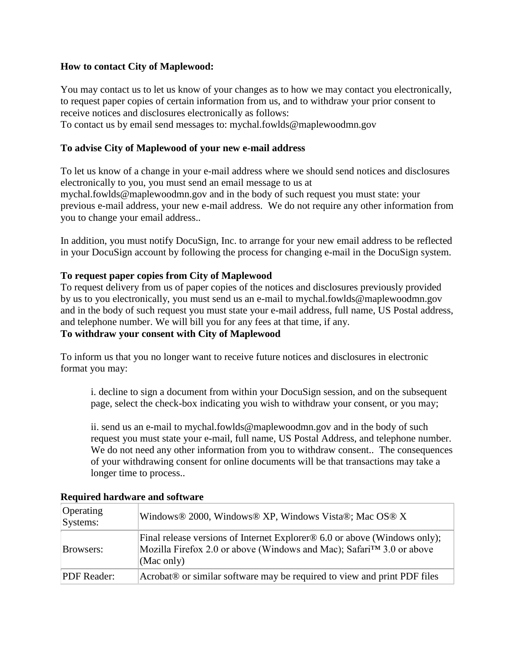#### **How to contact City of Maplewood:**

You may contact us to let us know of your changes as to how we may contact you electronically, to request paper copies of certain information from us, and to withdraw your prior consent to receive notices and disclosures electronically as follows:

To contact us by email send messages to: mychal.fowlds@maplewoodmn.gov

#### **To advise City of Maplewood of your new e-mail address**

To let us know of a change in your e-mail address where we should send notices and disclosures electronically to you, you must send an email message to us at mychal.fowlds@maplewoodmn.gov and in the body of such request you must state: your previous e-mail address, your new e-mail address. We do not require any other information from you to change your email address..

In addition, you must notify DocuSign, Inc. to arrange for your new email address to be reflected in your DocuSign account by following the process for changing e-mail in the DocuSign system.

#### **To request paper copies from City of Maplewood**

To request delivery from us of paper copies of the notices and disclosures previously provided by us to you electronically, you must send us an e-mail to mychal.fowlds@maplewoodmn.gov and in the body of such request you must state your e-mail address, full name, US Postal address, and telephone number. We will bill you for any fees at that time, if any. **To withdraw your consent with City of Maplewood**

To inform us that you no longer want to receive future notices and disclosures in electronic format you may:

i. decline to sign a document from within your DocuSign session, and on the subsequent page, select the check-box indicating you wish to withdraw your consent, or you may;

ii. send us an e-mail to mychal.fowlds@maplewoodmn.gov and in the body of such request you must state your e-mail, full name, US Postal Address, and telephone number. We do not need any other information from you to withdraw consent.. The consequences of your withdrawing consent for online documents will be that transactions may take a longer time to process..

| <b>Operating</b><br>Systems: | Windows® 2000, Windows® XP, Windows Vista®; Mac OS® X                                                                                                                                             |
|------------------------------|---------------------------------------------------------------------------------------------------------------------------------------------------------------------------------------------------|
| Browsers:                    | Final release versions of Internet Explorer <sup>®</sup> 6.0 or above (Windows only);<br>Mozilla Firefox 2.0 or above (Windows and Mac); Safari <sup>™</sup> 3.0 or above<br>$(Mac \text{ only})$ |
| <b>PDF</b> Reader:           | Acrobat <sup>®</sup> or similar software may be required to view and print PDF files                                                                                                              |

#### **Required hardware and software**